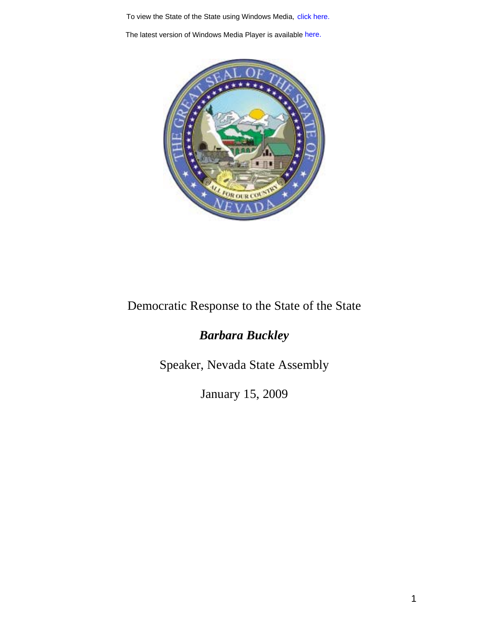To view the State of the State using Windows Media, click here.<br>The latest version of Windows Media Player is available here.



## Democratic Response to the State of the State

## *Barbara Buckley*

Speaker, Nevada State Assembly

January 15, 2009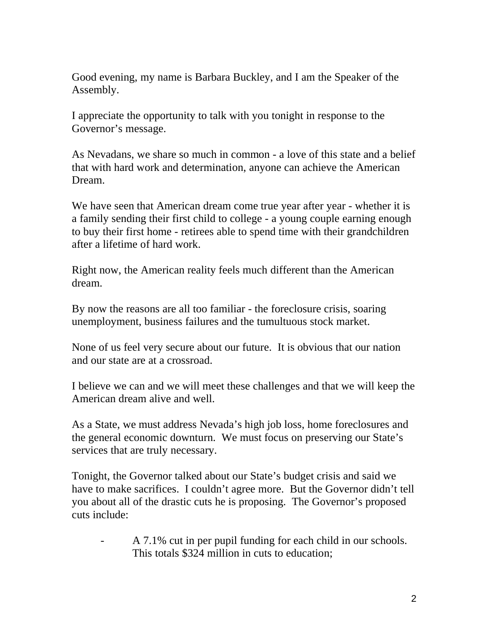Good evening, my name is Barbara Buckley, and I am the Speaker of the Assembly.

I appreciate the opportunity to talk with you tonight in response to the Governor's message.

As Nevadans, we share so much in common - a love of this state and a belief that with hard work and determination, anyone can achieve the American Dream.

We have seen that American dream come true year after year - whether it is a family sending their first child to college - a young couple earning enough to buy their first home - retirees able to spend time with their grandchildren after a lifetime of hard work.

Right now, the American reality feels much different than the American dream.

By now the reasons are all too familiar - the foreclosure crisis, soaring unemployment, business failures and the tumultuous stock market.

None of us feel very secure about our future. It is obvious that our nation and our state are at a crossroad.

I believe we can and we will meet these challenges and that we will keep the American dream alive and well.

As a State, we must address Nevada's high job loss, home foreclosures and the general economic downturn. We must focus on preserving our State's services that are truly necessary.

Tonight, the Governor talked about our State's budget crisis and said we have to make sacrifices. I couldn't agree more. But the Governor didn't tell you about all of the drastic cuts he is proposing. The Governor's proposed cuts include:

A 7.1% cut in per pupil funding for each child in our schools. This totals \$324 million in cuts to education;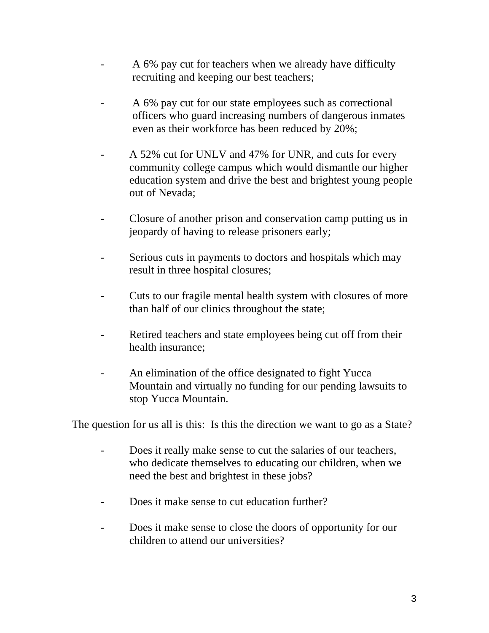- A 6% pay cut for teachers when we already have difficulty recruiting and keeping our best teachers;
- A 6% pay cut for our state employees such as correctional officers who guard increasing numbers of dangerous inmates even as their workforce has been reduced by 20%;
- A 52% cut for UNLV and 47% for UNR, and cuts for every community college campus which would dismantle our higher education system and drive the best and brightest young people out of Nevada;
- Closure of another prison and conservation camp putting us in jeopardy of having to release prisoners early;
- Serious cuts in payments to doctors and hospitals which may result in three hospital closures;
- Cuts to our fragile mental health system with closures of more than half of our clinics throughout the state;
- Retired teachers and state employees being cut off from their health insurance;
- An elimination of the office designated to fight Yucca Mountain and virtually no funding for our pending lawsuits to stop Yucca Mountain.

The question for us all is this: Is this the direction we want to go as a State?

- Does it really make sense to cut the salaries of our teachers, who dedicate themselves to educating our children, when we need the best and brightest in these jobs?
- Does it make sense to cut education further?
- Does it make sense to close the doors of opportunity for our children to attend our universities?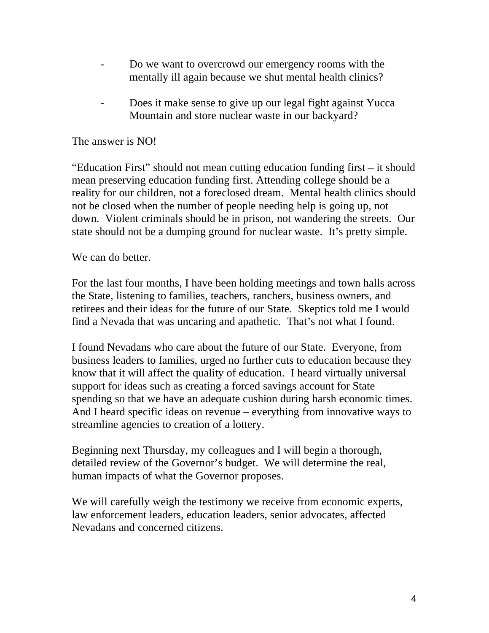- Do we want to overcrowd our emergency rooms with the mentally ill again because we shut mental health clinics?
- Does it make sense to give up our legal fight against Yucca Mountain and store nuclear waste in our backyard?

## The answer is NO!

"Education First" should not mean cutting education funding first – it should mean preserving education funding first. Attending college should be a reality for our children, not a foreclosed dream. Mental health clinics should not be closed when the number of people needing help is going up, not down. Violent criminals should be in prison, not wandering the streets. Our state should not be a dumping ground for nuclear waste. It's pretty simple.

We can do better.

For the last four months, I have been holding meetings and town halls across the State, listening to families, teachers, ranchers, business owners, and retirees and their ideas for the future of our State. Skeptics told me I would find a Nevada that was uncaring and apathetic. That's not what I found.

I found Nevadans who care about the future of our State. Everyone, from business leaders to families, urged no further cuts to education because they know that it will affect the quality of education. I heard virtually universal support for ideas such as creating a forced savings account for State spending so that we have an adequate cushion during harsh economic times. And I heard specific ideas on revenue – everything from innovative ways to streamline agencies to creation of a lottery.

Beginning next Thursday, my colleagues and I will begin a thorough, detailed review of the Governor's budget. We will determine the real, human impacts of what the Governor proposes.

We will carefully weigh the testimony we receive from economic experts, law enforcement leaders, education leaders, senior advocates, affected Nevadans and concerned citizens.